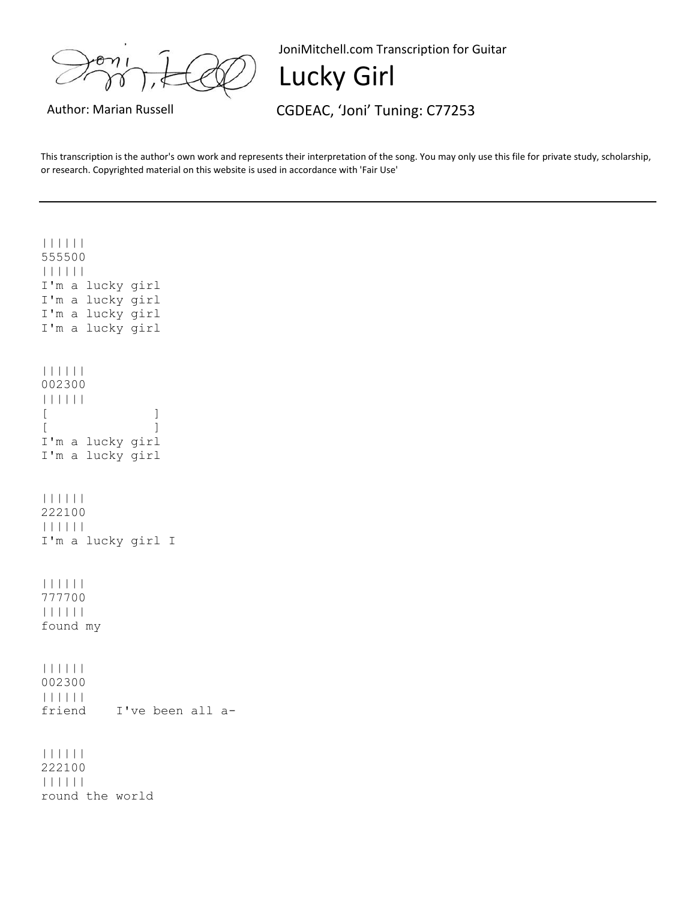JoniMitchell.com Transcription for Guitar

## Lucky Girl

Author: Marian Russell **CGDEAC, 'Joni' Tuning: C77253** 

This transcription is the author's own work and represents their interpretation of the song. You may only use this file for private study, scholarship, or research. Copyrighted material on this website is used in accordance with 'Fair Use'

```
|||||| 
555500 
|||||| 
I'm a lucky girl 
I'm a lucky girl 
I'm a lucky girl 
I'm a lucky girl 
|||||| 
002300 
|||||| 
[[I'm a lucky girl 
I'm a lucky girl 
|||||| 
222100 
|||||| 
I'm a lucky girl I 
|||||| 
777700 
|||||| 
found my 
|||||| 
002300 
|||||| 
friend I've been all a-
|||||| 
222100 
|||||| 
round the world
```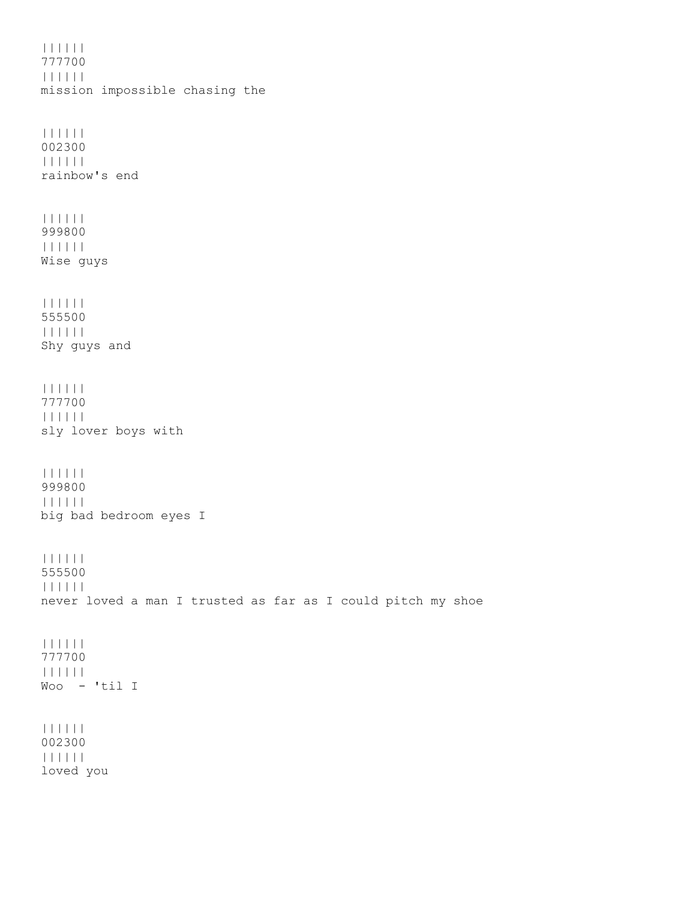|||||| 777700 |||||| mission impossible chasing the |||||| 002300 |||||| rainbow's end |||||| 999800 |||||| Wise guys |||||| 555500 |||||| Shy guys and |||||| 777700 |||||| sly lover boys with |||||| 999800 |||||| big bad bedroom eyes I |||||| 555500 |||||| never loved a man I trusted as far as I could pitch my shoe |||||| 777700 |||||| Woo - 'til I |||||| 002300 |||||| loved you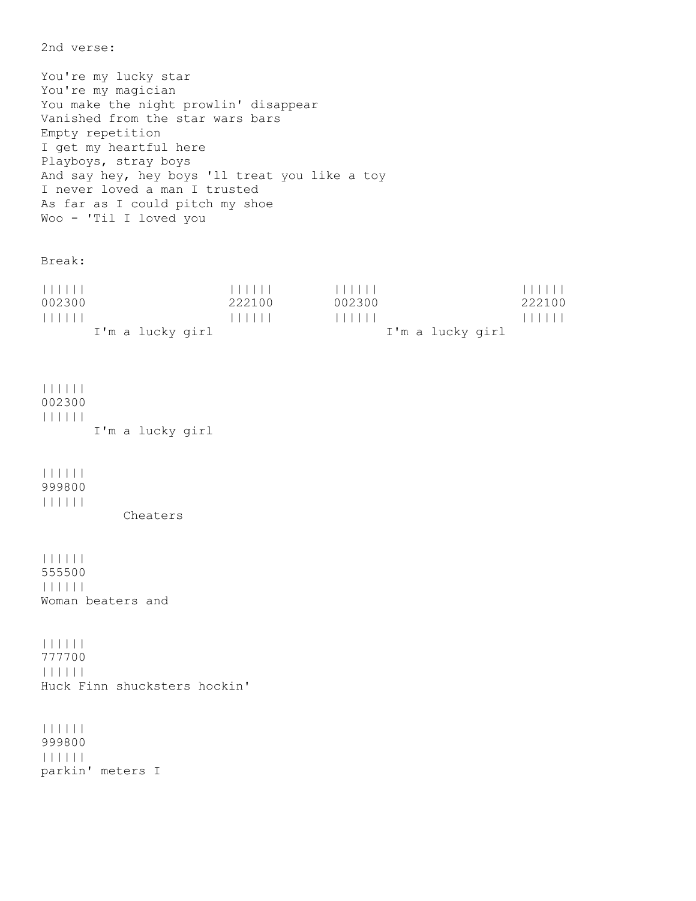2nd verse:

You're my lucky star You're my magician You make the night prowlin' disappear Vanished from the star wars bars Empty repetition I get my heartful here Playboys, stray boys And say hey, hey boys 'll treat you like a toy I never loved a man I trusted As far as I could pitch my shoe Woo - 'Til I loved you

Break:

| 111111           |        | <b>111111</b>    | -------   |
|------------------|--------|------------------|-----------|
| 002300           | 222100 | 002300           | 222100    |
| 111111           | .      | <b>111111</b>    | --------- |
| I'm a lucky girl |        | I'm a lucky girl |           |

|||||| 002300 |||||| I'm a lucky girl

|||||| 999800

||||||

Cheaters

|||||| 555500 |||||| Woman beaters and

|||||| 777700 |||||| Huck Finn shucksters hockin'

|||||| 999800 |||||| parkin' meters I